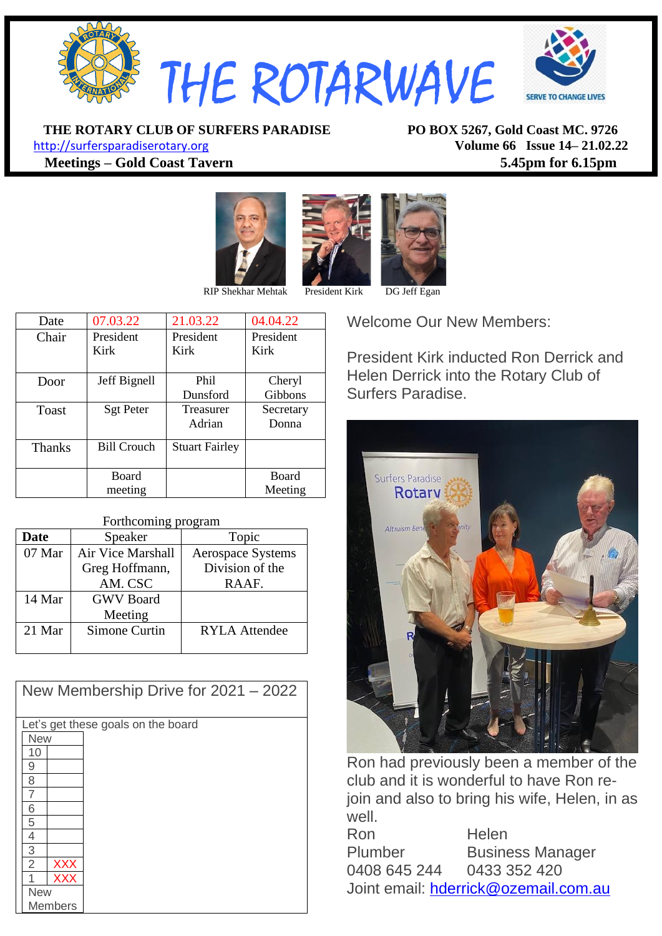

**THE ROTARY CLUB OF SURFERS PARADISE PO BOX 5267, Gold Coast MC. 9726**

[http://surfersparadiserotary.org](http://surfersparadiserotary.org/) **Volume 66 Issue 14– 21.02.22 Meetings – Gold Coast Tavern 5.45pm for 6.15pm**





| Date          | 07.03.22           | 21.03.22              | 04.04.22     |
|---------------|--------------------|-----------------------|--------------|
| Chair         | President          | President             | President    |
|               | Kirk               | Kirk                  | Kirk         |
|               |                    |                       |              |
| Door          | Jeff Bignell       | Phi <sub>1</sub>      | Cheryl       |
|               |                    | Dunsford              | Gibbons      |
| Toast         | <b>Sgt Peter</b>   | Treasurer             | Secretary    |
|               |                    | Adrian                | Donna        |
|               |                    |                       |              |
| <b>Thanks</b> | <b>Bill Crouch</b> | <b>Stuart Fairley</b> |              |
|               |                    |                       |              |
|               | <b>Board</b>       |                       | <b>Board</b> |
|               | meeting            |                       | Meeting      |

#### Forthcoming program

| <b>Date</b> | Speaker           | Topic                    |
|-------------|-------------------|--------------------------|
| 07 Mar      | Air Vice Marshall | <b>Aerospace Systems</b> |
|             | Greg Hoffmann,    | Division of the          |
|             | AM. CSC           | RAAF.                    |
| 14 Mar      | <b>GWV</b> Board  |                          |
|             | Meeting           |                          |
| 21 Mar      | Simone Curtin     | <b>RYLA</b> Attendee     |
|             |                   |                          |

| New Membership Drive for 2021 - 2022 |  |  |  |
|--------------------------------------|--|--|--|
| Let's get these goals on the board   |  |  |  |
| <b>New</b>                           |  |  |  |
| 10                                   |  |  |  |
| 9                                    |  |  |  |
| 8                                    |  |  |  |
|                                      |  |  |  |
| 6                                    |  |  |  |
| 5                                    |  |  |  |
| 4                                    |  |  |  |
| 3                                    |  |  |  |
| $\overline{2}$<br><b>XXX</b>         |  |  |  |
| <b>XXX</b>                           |  |  |  |
| <b>New</b>                           |  |  |  |
| <b>Members</b>                       |  |  |  |

Welcome Our New Members:

President Kirk inducted Ron Derrick and Helen Derrick into the Rotary Club of Surfers Paradise.



Ron had previously been a member of the club and it is wonderful to have Ron rejoin and also to bring his wife, Helen, in as well.

Ron Helen Plumber Business Manager 0408 645 244 0433 352 420 Joint email: [hderrick@ozemail.com.au](mailto:hderrick@ozemail.com.au)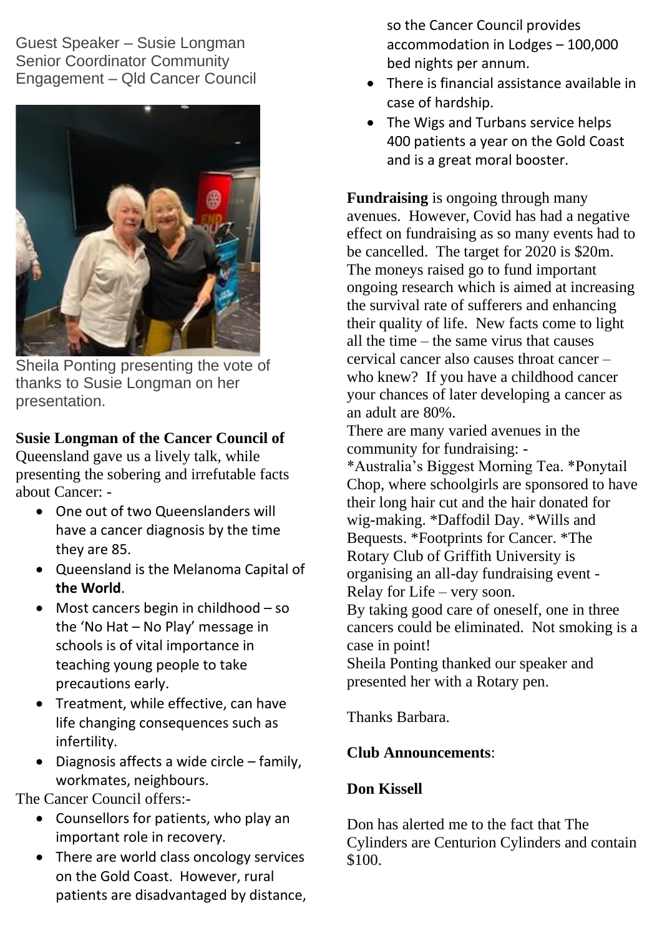Guest Speaker – Susie Longman Senior Coordinator Community Engagement – Qld Cancer Council



Sheila Ponting presenting the vote of thanks to Susie Longman on her presentation.

# **Susie Longman of the Cancer Council of**

Queensland gave us a lively talk, while presenting the sobering and irrefutable facts about Cancer: -

- One out of two Queenslanders will have a cancer diagnosis by the time they are 85.
- Queensland is the Melanoma Capital of **the World**.
- Most cancers begin in childhood so the 'No Hat – No Play' message in schools is of vital importance in teaching young people to take precautions early.
- Treatment, while effective, can have life changing consequences such as infertility.
- Diagnosis affects a wide circle family, workmates, neighbours.

The Cancer Council offers:-

- Counsellors for patients, who play an important role in recovery.
- There are world class oncology services on the Gold Coast. However, rural patients are disadvantaged by distance,

so the Cancer Council provides accommodation in Lodges – 100,000 bed nights per annum.

- There is financial assistance available in case of hardship.
- The Wigs and Turbans service helps 400 patients a year on the Gold Coast and is a great moral booster.

**Fundraising** is ongoing through many avenues. However, Covid has had a negative effect on fundraising as so many events had to be cancelled. The target for 2020 is \$20m. The moneys raised go to fund important ongoing research which is aimed at increasing the survival rate of sufferers and enhancing their quality of life. New facts come to light all the time – the same virus that causes cervical cancer also causes throat cancer – who knew? If you have a childhood cancer your chances of later developing a cancer as an adult are 80%.

There are many varied avenues in the community for fundraising: -

\*Australia's Biggest Morning Tea. \*Ponytail Chop, where schoolgirls are sponsored to have their long hair cut and the hair donated for wig-making. \*Daffodil Day. \*Wills and Bequests. \*Footprints for Cancer. \*The Rotary Club of Griffith University is organising an all-day fundraising event - Relay for Life – very soon.

By taking good care of oneself, one in three cancers could be eliminated. Not smoking is a case in point!

Sheila Ponting thanked our speaker and presented her with a Rotary pen.

Thanks Barbara.

# **Club Announcements**:

# **Don Kissell**

Don has alerted me to the fact that The Cylinders are Centurion Cylinders and contain \$100.